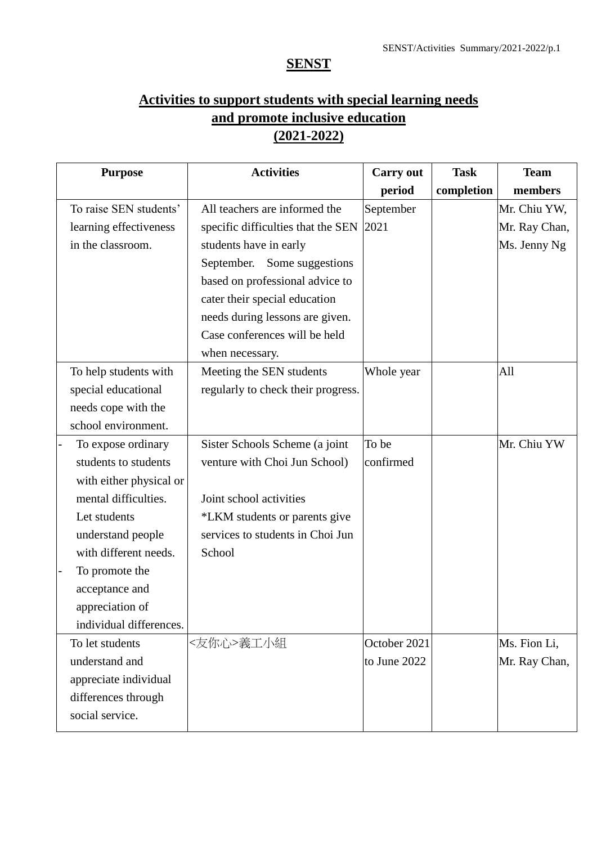## **SENST**

## **Activities to support students with special learning needs and promote inclusive education (2021-2022)**

| <b>Activities</b>                  | <b>Carry out</b> | <b>Task</b> | <b>Team</b>   |
|------------------------------------|------------------|-------------|---------------|
|                                    | period           | completion  | members       |
| All teachers are informed the      | September        |             | Mr. Chiu YW,  |
| specific difficulties that the SEN | 2021             |             | Mr. Ray Chan, |
| students have in early             |                  |             | Ms. Jenny Ng  |
| September.<br>Some suggestions     |                  |             |               |
| based on professional advice to    |                  |             |               |
| cater their special education      |                  |             |               |
| needs during lessons are given.    |                  |             |               |
| Case conferences will be held      |                  |             |               |
| when necessary.                    |                  |             |               |
| Meeting the SEN students           | Whole year       |             | All           |
| regularly to check their progress. |                  |             |               |
|                                    |                  |             |               |
|                                    |                  |             |               |
| Sister Schools Scheme (a joint     | To be            |             | Mr. Chiu YW   |
| venture with Choi Jun School)      | confirmed        |             |               |
|                                    |                  |             |               |
| Joint school activities            |                  |             |               |
| *LKM students or parents give      |                  |             |               |
| services to students in Choi Jun   |                  |             |               |
| School                             |                  |             |               |
|                                    |                  |             |               |
|                                    |                  |             |               |
|                                    |                  |             |               |
|                                    |                  |             |               |
| <友你心>義工小組                          | October 2021     |             | Ms. Fion Li,  |
|                                    | to June 2022     |             | Mr. Ray Chan, |
|                                    |                  |             |               |
|                                    |                  |             |               |
|                                    |                  |             |               |
|                                    |                  |             |               |